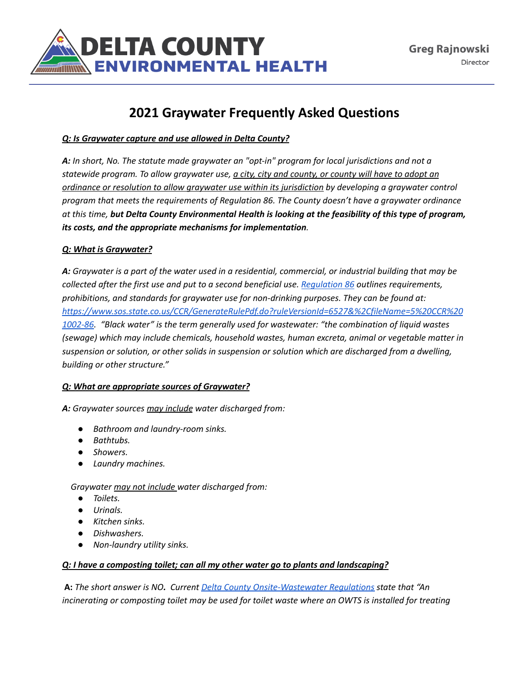

# **2021 Graywater Frequently Asked Questions**

# *Q: Is Graywater capture and use allowed in Delta County?*

*A: In short, No. The statute made graywater an "opt-in" program for local jurisdictions and not a* statewide program. To allow graywater use, a city, city and county, or county will have to adopt an *ordinance or resolution to allow graywater use within its jurisdiction by developing a graywater control program that meets the requirements of Regulation 86. The County doesn't have a graywater ordinance* at this time, but Delta County Environmental Health is looking at the feasibility of this type of program, *its costs, and the appropriate mechanisms for implementation.*

# *Q: What is Graywater?*

A: Graywater is a part of the water used in a residential, commercial, or industrial building that may be *collected after the first use and put to a second beneficial use. [Regulation](https://www.sos.state.co.us/CCR/GenerateRulePdf.do?ruleVersionId=6527&%2CfileName=5%20CCR%201002-86) 86 outlines requirements, prohibitions, and standards for graywater use for non-drinking purposes. They can be found at: [https://www.sos.state.co.us/CCR/GenerateRulePdf.do?ruleVersionId=6527&%2CfileName=5%20CCR%20](https://www.sos.state.co.us/CCR/GenerateRulePdf.do?ruleVersionId=6527&%2CfileName=5%20CCR%201002-86) [1002-86.](https://www.sos.state.co.us/CCR/GenerateRulePdf.do?ruleVersionId=6527&%2CfileName=5%20CCR%201002-86) "Black water" is the term generally used for wastewater: "the combination of liquid wastes (sewage) which may include chemicals, household wastes, human excreta, animal or vegetable matter in suspension or solution, or other solids in suspension or solution which are discharged from a dwelling, building or other structure."*

#### *Q: What are appropriate sources of Graywater?*

*A: Graywater sources may include water discharged from:*

- *● Bathroom and laundry-room sinks.*
- *● Bathtubs.*
- *● Showers.*
- *● Laundry machines.*

*Graywater may not include water discharged from:*

- *● Toilets.*
- *● Urinals.*
- *● Kitchen sinks.*
- *● Dishwashers.*
- *Non-laundry utility sinks.*

#### *Q: I have a composting toilet; can all my other water go to plants and landscaping?*

**A:** *The short answer is NO. Current Delta County [Onsite-Wastewater](https://www.deltacounty.com/DocumentCenter/View/8185) Regulations state that "An incinerating or composting toilet may be used for toilet waste where an OWTS is installed for treating*